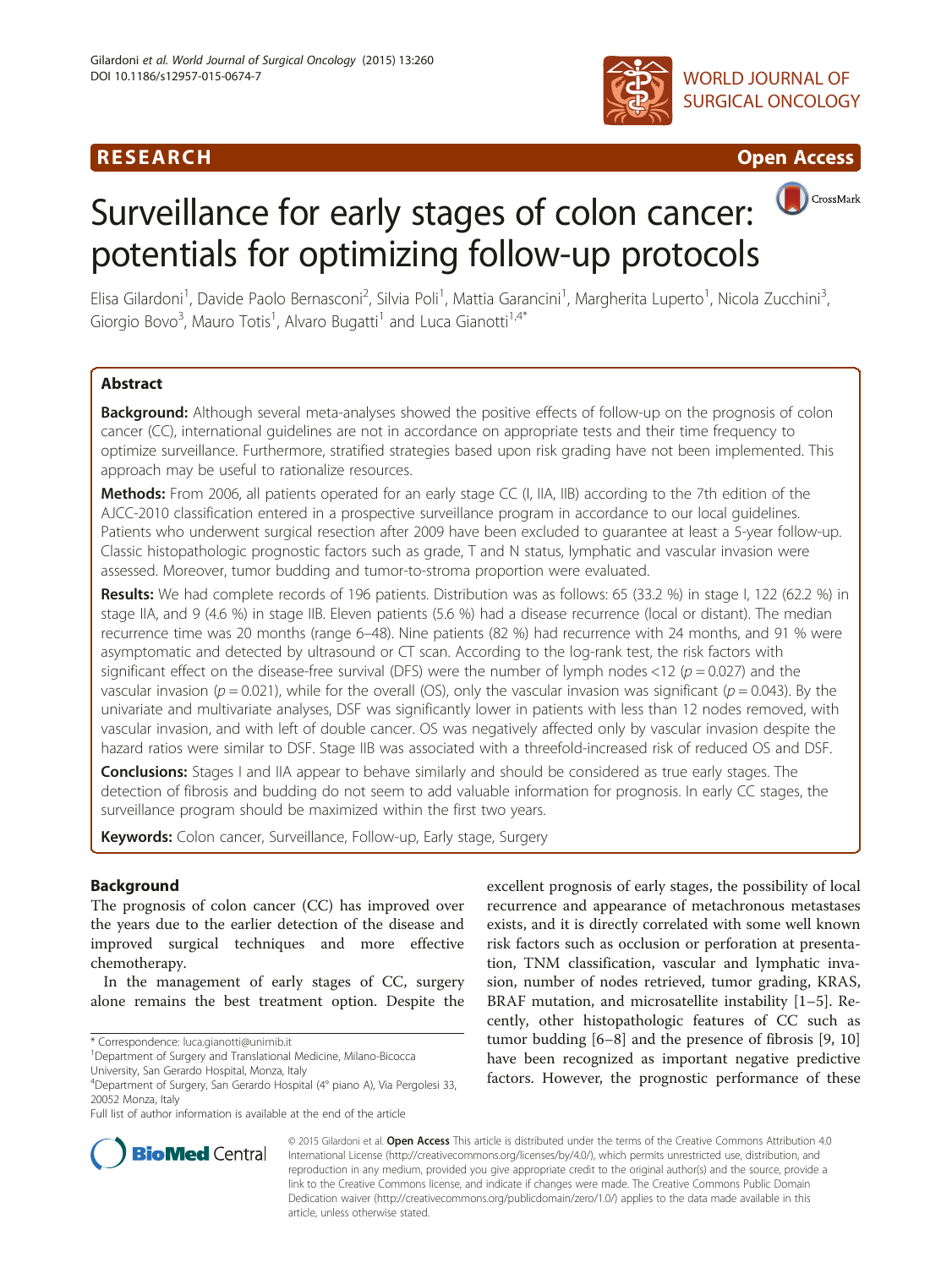# R E S EAR CH Open Access





CrossMark

# Surveillance for early stages of colon cancer: potentials for optimizing follow-up protocols

Elisa Gilardoni<sup>1</sup>, Davide Paolo Bernasconi<sup>2</sup>, Silvia Poli<sup>1</sup>, Mattia Garancini<sup>1</sup>, Margherita Luperto<sup>1</sup>, Nicola Zucchini<sup>3</sup> , Giorgio Bovo<sup>3</sup>, Mauro Totis<sup>1</sup>, Alvaro Bugatti<sup>1</sup> and Luca Gianotti<sup>1,4\*</sup>

# **Abstract**

Background: Although several meta-analyses showed the positive effects of follow-up on the prognosis of colon cancer (CC), international guidelines are not in accordance on appropriate tests and their time frequency to optimize surveillance. Furthermore, stratified strategies based upon risk grading have not been implemented. This approach may be useful to rationalize resources.

Methods: From 2006, all patients operated for an early stage CC (I, IIA, IIB) according to the 7th edition of the AJCC-2010 classification entered in a prospective surveillance program in accordance to our local guidelines. Patients who underwent surgical resection after 2009 have been excluded to guarantee at least a 5-year follow-up. Classic histopathologic prognostic factors such as grade, T and N status, lymphatic and vascular invasion were assessed. Moreover, tumor budding and tumor-to-stroma proportion were evaluated.

Results: We had complete records of 196 patients. Distribution was as follows: 65 (33.2 %) in stage I, 122 (62.2 %) in stage IIA, and 9 (4.6 %) in stage IIB. Eleven patients (5.6 %) had a disease recurrence (local or distant). The median recurrence time was 20 months (range 6–48). Nine patients (82 %) had recurrence with 24 months, and 91 % were asymptomatic and detected by ultrasound or CT scan. According to the log-rank test, the risk factors with significant effect on the disease-free survival (DFS) were the number of lymph nodes <12 ( $p = 0.027$ ) and the vascular invasion ( $p = 0.021$ ), while for the overall (OS), only the vascular invasion was significant ( $p = 0.043$ ). By the univariate and multivariate analyses, DSF was significantly lower in patients with less than 12 nodes removed, with vascular invasion, and with left of double cancer. OS was negatively affected only by vascular invasion despite the hazard ratios were similar to DSF. Stage IIB was associated with a threefold-increased risk of reduced OS and DSF.

**Conclusions:** Stages I and IIA appear to behave similarly and should be considered as true early stages. The detection of fibrosis and budding do not seem to add valuable information for prognosis. In early CC stages, the surveillance program should be maximized within the first two years.

Keywords: Colon cancer, Surveillance, Follow-up, Early stage, Surgery

# Background

The prognosis of colon cancer (CC) has improved over the years due to the earlier detection of the disease and improved surgical techniques and more effective chemotherapy.

In the management of early stages of CC, surgery alone remains the best treatment option. Despite the

excellent prognosis of early stages, the possibility of local recurrence and appearance of metachronous metastases exists, and it is directly correlated with some well known risk factors such as occlusion or perforation at presentation, TNM classification, vascular and lymphatic invasion, number of nodes retrieved, tumor grading, KRAS, BRAF mutation, and microsatellite instability [[1](#page-9-0)–[5\]](#page-9-0). Recently, other histopathologic features of CC such as tumor budding [\[6](#page-9-0)–[8\]](#page-9-0) and the presence of fibrosis [\[9](#page-9-0), [10](#page-9-0)] have been recognized as important negative predictive factors. However, the prognostic performance of these



© 2015 Gilardoni et al. Open Access This article is distributed under the terms of the Creative Commons Attribution 4.0 International License [\(http://creativecommons.org/licenses/by/4.0/\)](http://creativecommons.org/licenses/by/4.0/), which permits unrestricted use, distribution, and reproduction in any medium, provided you give appropriate credit to the original author(s) and the source, provide a link to the Creative Commons license, and indicate if changes were made. The Creative Commons Public Domain Dedication waiver ([http://creativecommons.org/publicdomain/zero/1.0/\)](http://creativecommons.org/publicdomain/zero/1.0/) applies to the data made available in this article, unless otherwise stated.

<sup>\*</sup> Correspondence: [luca.gianotti@unimib.it](mailto:luca.gianotti@unimib.it) <sup>1</sup>

<sup>&</sup>lt;sup>1</sup>Department of Surgery and Translational Medicine, Milano-Bicocca

University, San Gerardo Hospital, Monza, Italy

<sup>4</sup> Department of Surgery, San Gerardo Hospital (4° piano A), Via Pergolesi 33, 20052 Monza, Italy

Full list of author information is available at the end of the article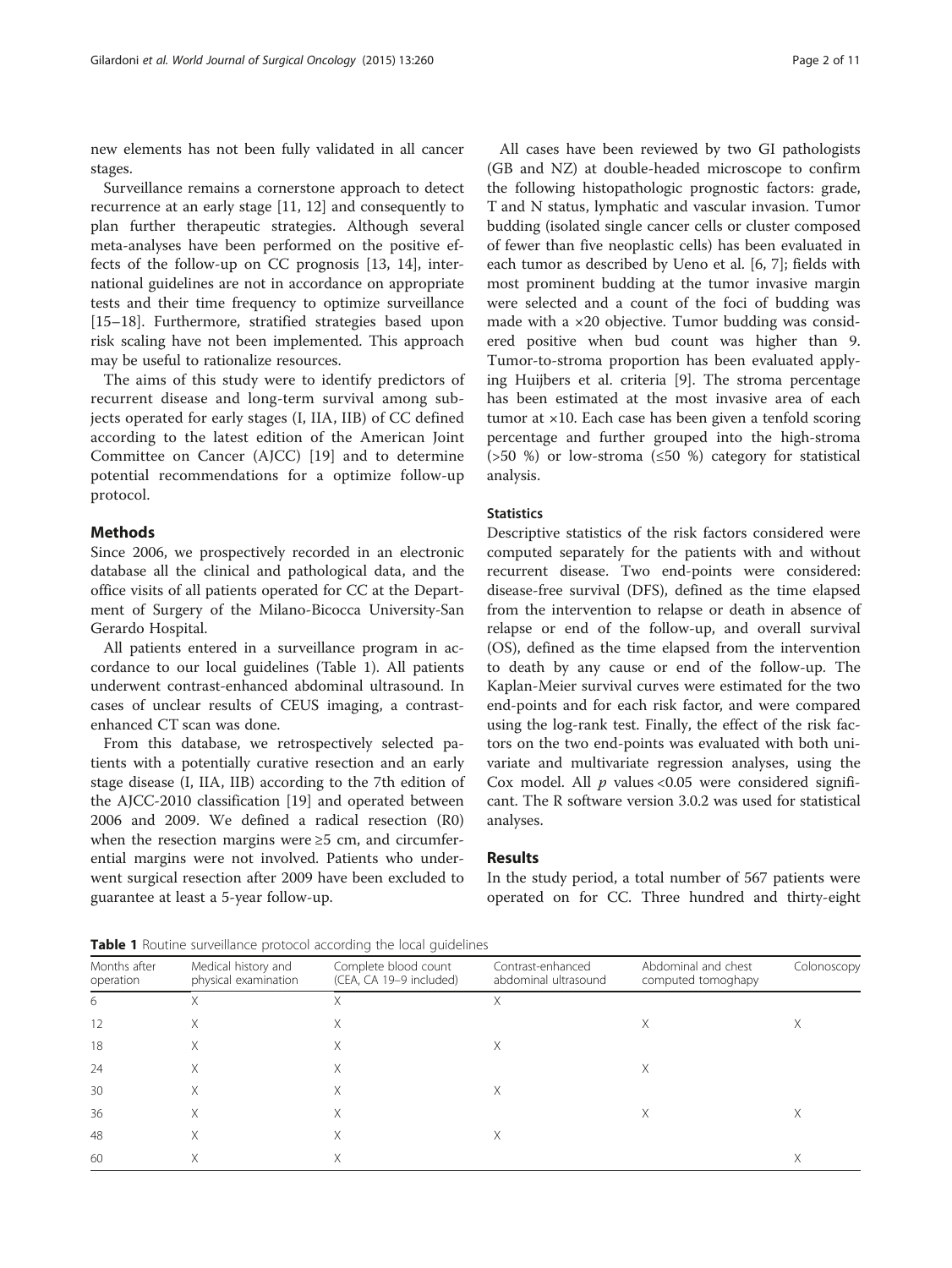new elements has not been fully validated in all cancer stages.

Surveillance remains a cornerstone approach to detect recurrence at an early stage [\[11](#page-9-0), [12](#page-9-0)] and consequently to plan further therapeutic strategies. Although several meta-analyses have been performed on the positive effects of the follow-up on CC prognosis [\[13](#page-9-0), [14](#page-9-0)], international guidelines are not in accordance on appropriate tests and their time frequency to optimize surveillance [[15](#page-9-0)–[18](#page-9-0)]. Furthermore, stratified strategies based upon risk scaling have not been implemented. This approach may be useful to rationalize resources.

The aims of this study were to identify predictors of recurrent disease and long-term survival among subjects operated for early stages (I, IIA, IIB) of CC defined according to the latest edition of the American Joint Committee on Cancer (AJCC) [[19\]](#page-9-0) and to determine potential recommendations for a optimize follow-up protocol.

## Methods

Since 2006, we prospectively recorded in an electronic database all the clinical and pathological data, and the office visits of all patients operated for CC at the Department of Surgery of the Milano-Bicocca University-San Gerardo Hospital.

All patients entered in a surveillance program in accordance to our local guidelines (Table 1). All patients underwent contrast-enhanced abdominal ultrasound. In cases of unclear results of CEUS imaging, a contrastenhanced CT scan was done.

From this database, we retrospectively selected patients with a potentially curative resection and an early stage disease (I, IIA, IIB) according to the 7th edition of the AJCC-2010 classification [\[19](#page-9-0)] and operated between 2006 and 2009. We defined a radical resection (R0) when the resection margins were  $\geq$ 5 cm, and circumferential margins were not involved. Patients who underwent surgical resection after 2009 have been excluded to guarantee at least a 5-year follow-up.

All cases have been reviewed by two GI pathologists (GB and NZ) at double-headed microscope to confirm the following histopathologic prognostic factors: grade, T and N status, lymphatic and vascular invasion. Tumor budding (isolated single cancer cells or cluster composed of fewer than five neoplastic cells) has been evaluated in each tumor as described by Ueno et al. [[6](#page-9-0), [7\]](#page-9-0); fields with most prominent budding at the tumor invasive margin were selected and a count of the foci of budding was made with a ×20 objective. Tumor budding was considered positive when bud count was higher than 9. Tumor-to-stroma proportion has been evaluated applying Huijbers et al. criteria [\[9](#page-9-0)]. The stroma percentage has been estimated at the most invasive area of each tumor at ×10. Each case has been given a tenfold scoring percentage and further grouped into the high-stroma ( $>50$  %) or low-stroma ( $\leq50$  %) category for statistical analysis.

#### **Statistics**

Descriptive statistics of the risk factors considered were computed separately for the patients with and without recurrent disease. Two end-points were considered: disease-free survival (DFS), defined as the time elapsed from the intervention to relapse or death in absence of relapse or end of the follow-up, and overall survival (OS), defined as the time elapsed from the intervention to death by any cause or end of the follow-up. The Kaplan-Meier survival curves were estimated for the two end-points and for each risk factor, and were compared using the log-rank test. Finally, the effect of the risk factors on the two end-points was evaluated with both univariate and multivariate regression analyses, using the Cox model. All  $p$  values <0.05 were considered significant. The R software version 3.0.2 was used for statistical analyses.

#### Results

In the study period, a total number of 567 patients were operated on for CC. Three hundred and thirty-eight

Table 1 Routine surveillance protocol according the local quidelines

| Months after<br>operation | Medical history and<br>physical examination | Complete blood count<br>(CEA, CA 19-9 included) | Contrast-enhanced<br>abdominal ultrasound | Abdominal and chest<br>computed tomoghapy | Colonoscopy |
|---------------------------|---------------------------------------------|-------------------------------------------------|-------------------------------------------|-------------------------------------------|-------------|
| 6                         | Χ                                           |                                                 |                                           |                                           |             |
| 12                        | X                                           |                                                 |                                           |                                           |             |
| 18                        | Χ                                           | Χ                                               |                                           |                                           |             |
| 24                        | Χ                                           |                                                 |                                           | Х                                         |             |
| 30                        | Χ                                           | х                                               | Χ                                         |                                           |             |
| 36                        | Χ                                           |                                                 |                                           |                                           |             |
| 48                        | Χ                                           | Χ                                               |                                           |                                           |             |
| 60                        | Χ                                           | Χ                                               |                                           |                                           |             |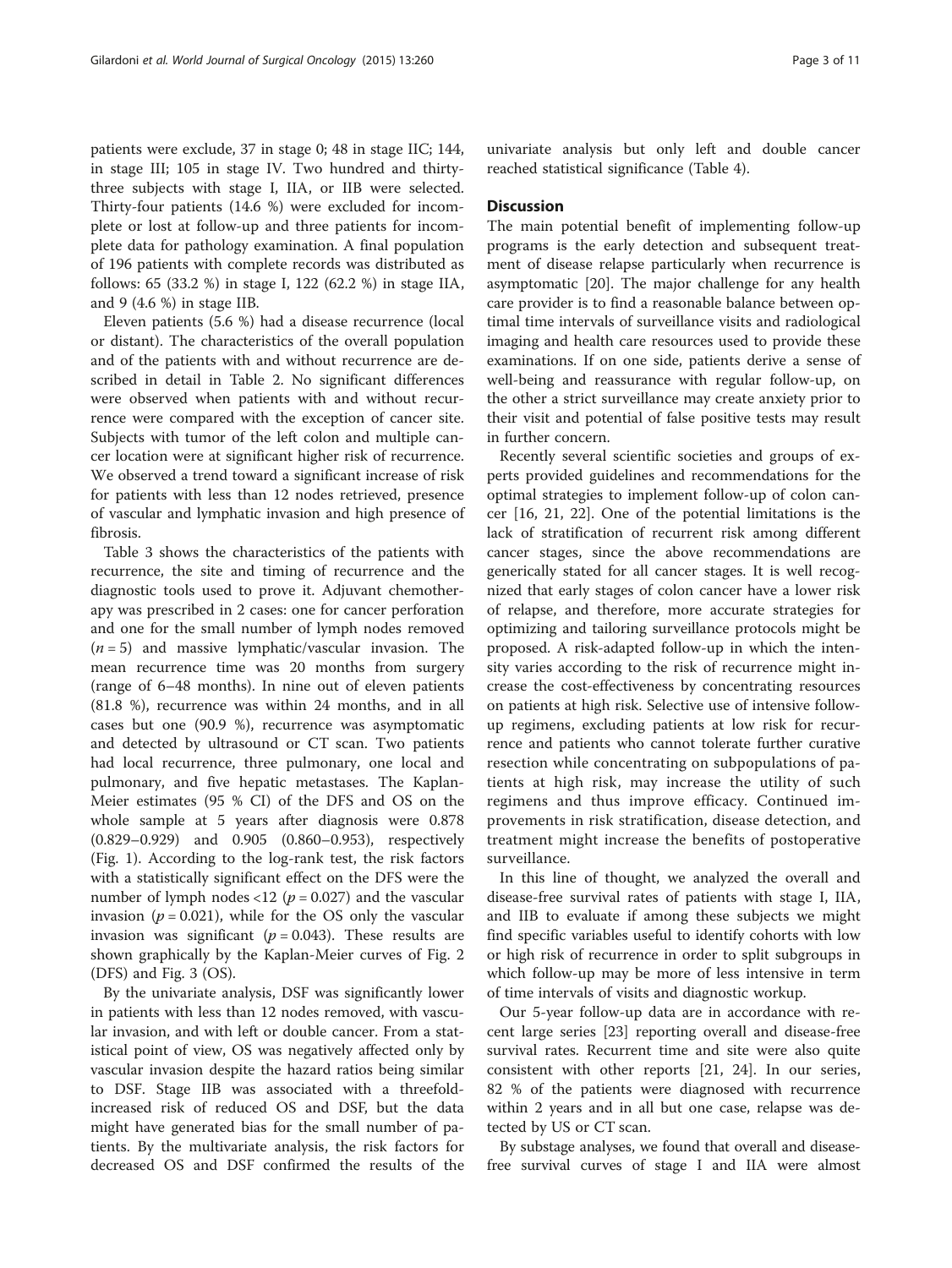patients were exclude, 37 in stage 0; 48 in stage IIC; 144, in stage III; 105 in stage IV. Two hundred and thirtythree subjects with stage I, IIA, or IIB were selected. Thirty-four patients (14.6 %) were excluded for incomplete or lost at follow-up and three patients for incomplete data for pathology examination. A final population of 196 patients with complete records was distributed as follows: 65 (33.2 %) in stage I, 122 (62.2 %) in stage IIA, and 9 (4.6 %) in stage IIB.

Eleven patients (5.6 %) had a disease recurrence (local or distant). The characteristics of the overall population and of the patients with and without recurrence are described in detail in Table [2](#page-3-0). No significant differences were observed when patients with and without recurrence were compared with the exception of cancer site. Subjects with tumor of the left colon and multiple cancer location were at significant higher risk of recurrence. We observed a trend toward a significant increase of risk for patients with less than 12 nodes retrieved, presence of vascular and lymphatic invasion and high presence of fibrosis.

Table [3](#page-4-0) shows the characteristics of the patients with recurrence, the site and timing of recurrence and the diagnostic tools used to prove it. Adjuvant chemotherapy was prescribed in 2 cases: one for cancer perforation and one for the small number of lymph nodes removed  $(n = 5)$  and massive lymphatic/vascular invasion. The mean recurrence time was 20 months from surgery (range of 6–48 months). In nine out of eleven patients (81.8 %), recurrence was within 24 months, and in all cases but one (90.9 %), recurrence was asymptomatic and detected by ultrasound or CT scan. Two patients had local recurrence, three pulmonary, one local and pulmonary, and five hepatic metastases. The Kaplan-Meier estimates (95 % CI) of the DFS and OS on the whole sample at 5 years after diagnosis were 0.878 (0.829–0.929) and 0.905 (0.860–0.953), respectively (Fig. [1](#page-5-0)). According to the log-rank test, the risk factors with a statistically significant effect on the DFS were the number of lymph nodes <12 ( $p = 0.027$ ) and the vascular invasion ( $p = 0.021$ ), while for the OS only the vascular invasion was significant ( $p = 0.043$ ). These results are shown graphically by the Kaplan-Meier curves of Fig. [2](#page-6-0) (DFS) and Fig. [3](#page-7-0) (OS).

By the univariate analysis, DSF was significantly lower in patients with less than 12 nodes removed, with vascular invasion, and with left or double cancer. From a statistical point of view, OS was negatively affected only by vascular invasion despite the hazard ratios being similar to DSF. Stage IIB was associated with a threefoldincreased risk of reduced OS and DSF, but the data might have generated bias for the small number of patients. By the multivariate analysis, the risk factors for decreased OS and DSF confirmed the results of the univariate analysis but only left and double cancer reached statistical significance (Table [4\)](#page-8-0).

## **Discussion**

The main potential benefit of implementing follow-up programs is the early detection and subsequent treatment of disease relapse particularly when recurrence is asymptomatic [\[20\]](#page-9-0). The major challenge for any health care provider is to find a reasonable balance between optimal time intervals of surveillance visits and radiological imaging and health care resources used to provide these examinations. If on one side, patients derive a sense of well-being and reassurance with regular follow-up, on the other a strict surveillance may create anxiety prior to their visit and potential of false positive tests may result in further concern.

Recently several scientific societies and groups of experts provided guidelines and recommendations for the optimal strategies to implement follow-up of colon cancer [[16](#page-9-0), [21, 22\]](#page-9-0). One of the potential limitations is the lack of stratification of recurrent risk among different cancer stages, since the above recommendations are generically stated for all cancer stages. It is well recognized that early stages of colon cancer have a lower risk of relapse, and therefore, more accurate strategies for optimizing and tailoring surveillance protocols might be proposed. A risk-adapted follow-up in which the intensity varies according to the risk of recurrence might increase the cost-effectiveness by concentrating resources on patients at high risk. Selective use of intensive followup regimens, excluding patients at low risk for recurrence and patients who cannot tolerate further curative resection while concentrating on subpopulations of patients at high risk, may increase the utility of such regimens and thus improve efficacy. Continued improvements in risk stratification, disease detection, and treatment might increase the benefits of postoperative surveillance.

In this line of thought, we analyzed the overall and disease-free survival rates of patients with stage I, IIA, and IIB to evaluate if among these subjects we might find specific variables useful to identify cohorts with low or high risk of recurrence in order to split subgroups in which follow-up may be more of less intensive in term of time intervals of visits and diagnostic workup.

Our 5-year follow-up data are in accordance with recent large series [[23](#page-9-0)] reporting overall and disease-free survival rates. Recurrent time and site were also quite consistent with other reports [[21, 24](#page-9-0)]. In our series, 82 % of the patients were diagnosed with recurrence within 2 years and in all but one case, relapse was detected by US or CT scan.

By substage analyses, we found that overall and diseasefree survival curves of stage I and IIA were almost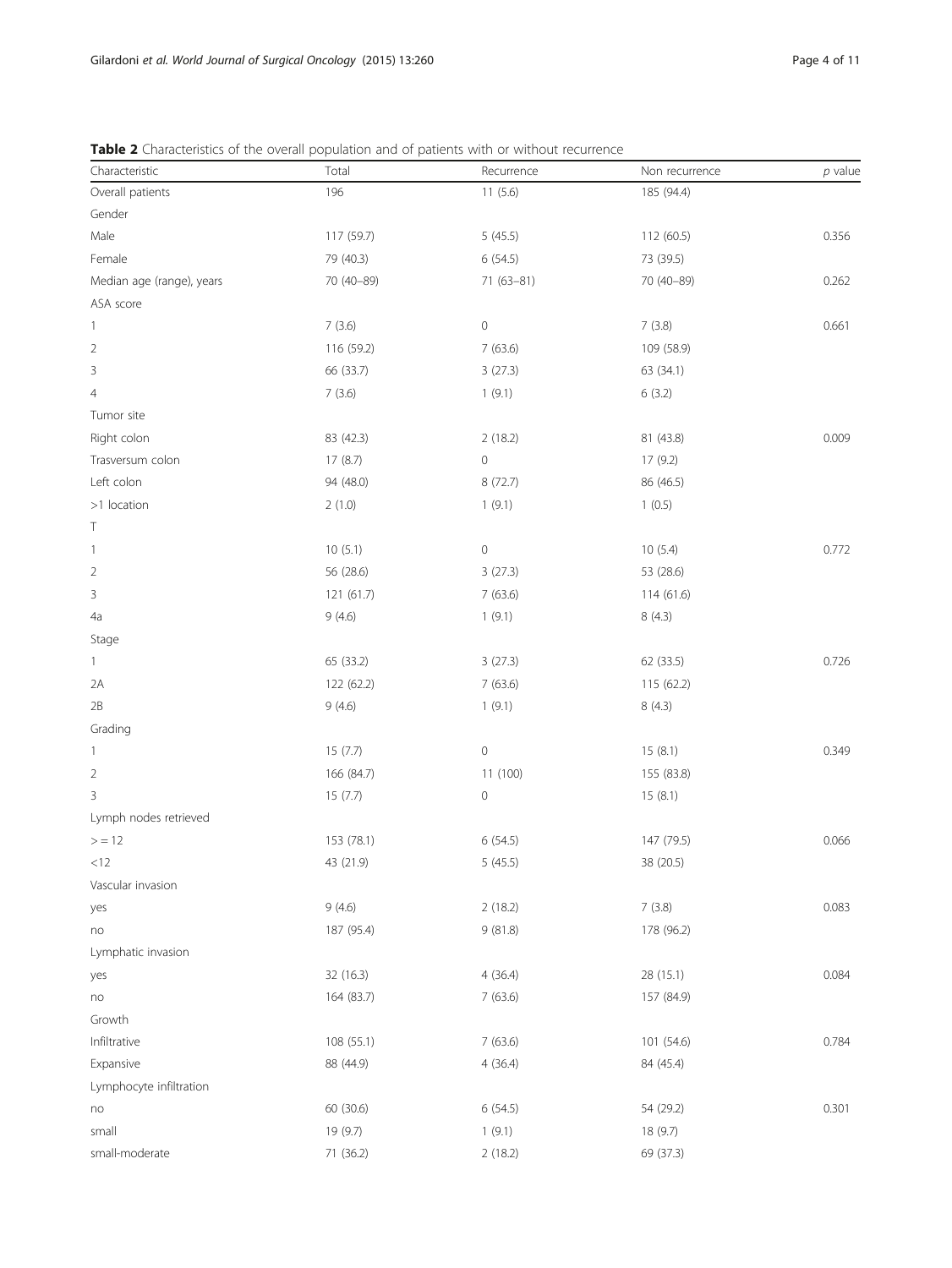| Characteristic            | Total      | Recurrence    | Non recurrence | $p$ value |
|---------------------------|------------|---------------|----------------|-----------|
| Overall patients          | 196        | 11(5.6)       | 185 (94.4)     |           |
| Gender                    |            |               |                |           |
| Male                      | 117 (59.7) | 5(45.5)       | 112 (60.5)     | 0.356     |
| Female                    | 79 (40.3)  | 6(54.5)       | 73 (39.5)      |           |
| Median age (range), years | 70 (40-89) | $71(63 - 81)$ | 70 (40-89)     | 0.262     |
| ASA score                 |            |               |                |           |
| $\mathbf{1}$              | 7(3.6)     | $\mathbf 0$   | 7(3.8)         | 0.661     |
| $\overline{c}$            | 116 (59.2) | 7(63.6)       | 109 (58.9)     |           |
| 3                         | 66 (33.7)  | 3(27.3)       | 63 (34.1)      |           |
| 4                         | 7(3.6)     | 1(9.1)        | 6(3.2)         |           |
| Tumor site                |            |               |                |           |
| Right colon               | 83 (42.3)  | 2(18.2)       | 81 (43.8)      | 0.009     |
| Trasversum colon          | 17(8.7)    | $\mathbf 0$   | 17 (9.2)       |           |
| Left colon                | 94 (48.0)  | 8 (72.7)      | 86 (46.5)      |           |
| >1 location               | 2(1.0)     | 1(9.1)        | 1(0.5)         |           |
| Τ                         |            |               |                |           |
| $\mathbf{1}$              | 10(5.1)    | $\mathbf 0$   | 10(5.4)        | 0.772     |
| $\overline{2}$            | 56 (28.6)  | 3(27.3)       | 53 (28.6)      |           |
| 3                         | 121 (61.7) | 7(63.6)       | 114 (61.6)     |           |
| 4a                        | 9(4.6)     | 1(9.1)        | 8(4.3)         |           |
| Stage                     |            |               |                |           |
| $\mathbf{1}$              | 65 (33.2)  | 3(27.3)       | 62 (33.5)      | 0.726     |
| 2A                        | 122 (62.2) | 7(63.6)       | 115 (62.2)     |           |
| 2B                        | 9(4.6)     | 1(9.1)        | 8(4.3)         |           |
| Grading                   |            |               |                |           |
| $\mathbf{1}$              | 15(7.7)    | $\mathbf 0$   | 15(8.1)        | 0.349     |
| $\overline{c}$            | 166 (84.7) | 11 (100)      | 155 (83.8)     |           |
| 3                         | 15(7.7)    | $\mathbf 0$   | 15(8.1)        |           |
| Lymph nodes retrieved     |            |               |                |           |
| $> = 12$                  | 153 (78.1) | 6(54.5)       | 147 (79.5)     | 0.066     |
| < 12                      | 43 (21.9)  | 5(45.5)       | 38 (20.5)      |           |
| Vascular invasion         |            |               |                |           |

<span id="page-3-0"></span>**Table 2** Characteristics of the overall population and of patients with or without recurrence

| $\geq$ = 12             | 153 (78.1) | 0(54.5) | 147 (79.5) | <b>0.066</b> |
|-------------------------|------------|---------|------------|--------------|
| <12                     | 43 (21.9)  | 5(45.5) | 38 (20.5)  |              |
| Vascular invasion       |            |         |            |              |
| yes                     | 9(4.6)     | 2(18.2) | 7(3.8)     | 0.083        |
| no                      | 187 (95.4) | 9(81.8) | 178 (96.2) |              |
| Lymphatic invasion      |            |         |            |              |
| yes                     | 32 (16.3)  | 4(36.4) | 28 (15.1)  | 0.084        |
| no                      | 164 (83.7) | 7(63.6) | 157 (84.9) |              |
| Growth                  |            |         |            |              |
| Infiltrative            | 108 (55.1) | 7(63.6) | 101 (54.6) | 0.784        |
| Expansive               | 88 (44.9)  | 4(36.4) | 84 (45.4)  |              |
| Lymphocyte infiltration |            |         |            |              |
| no                      | 60 (30.6)  | 6(54.5) | 54 (29.2)  | 0.301        |
| small                   | 19(9.7)    | 1(9.1)  | 18(9.7)    |              |
| small-moderate          | 71 (36.2)  | 2(18.2) | 69 (37.3)  |              |
|                         |            |         |            |              |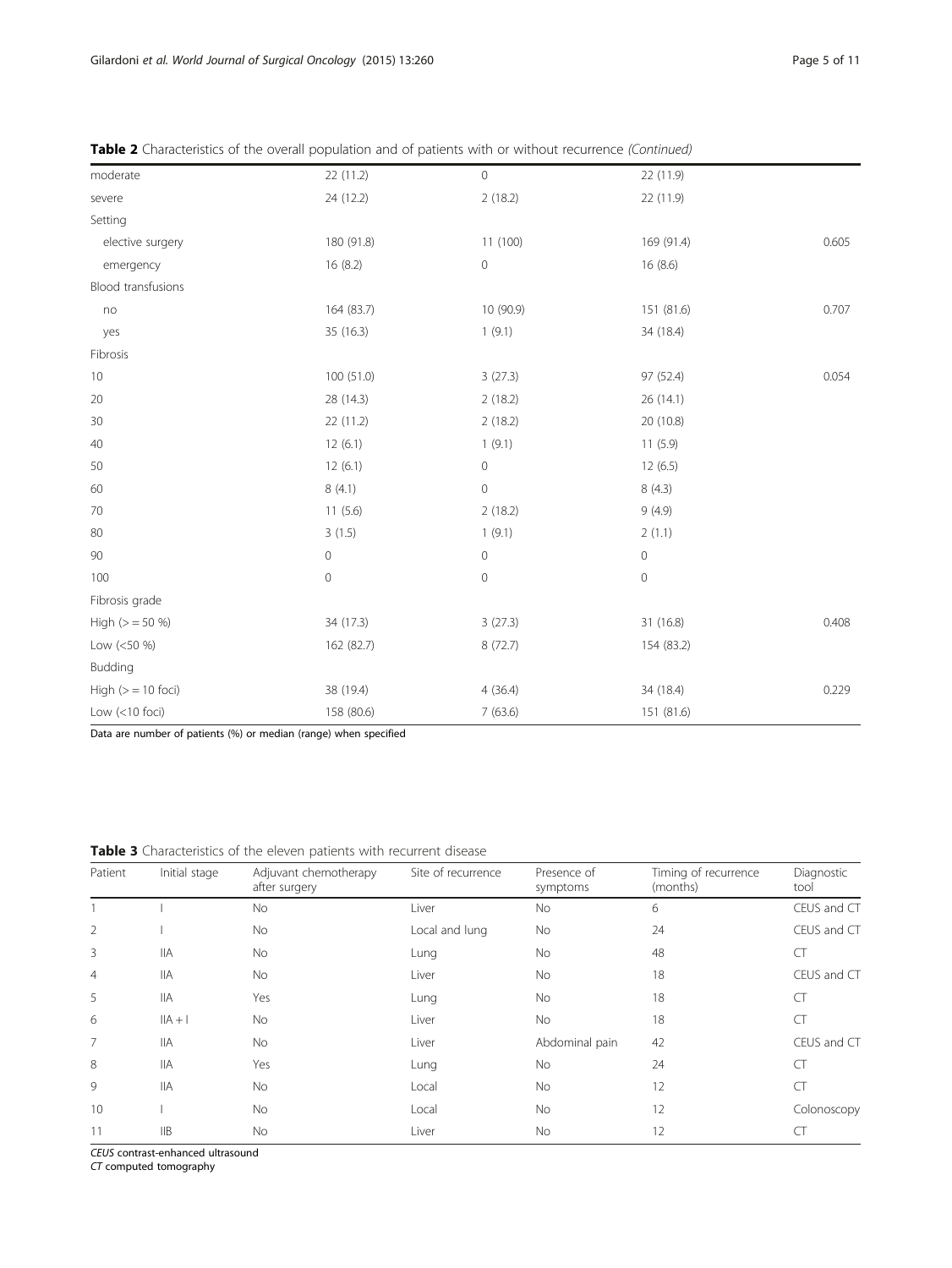| moderate                  | 22 (11.2)           | $\circ$     | 22 (11.9)           |       |
|---------------------------|---------------------|-------------|---------------------|-------|
| severe                    | 24 (12.2)           | 2(18.2)     | 22 (11.9)           |       |
| Setting                   |                     |             |                     |       |
| elective surgery          | 180 (91.8)          | 11 (100)    | 169 (91.4)          | 0.605 |
| emergency                 | 16(8.2)             | $\mathbf 0$ | 16(8.6)             |       |
| <b>Blood transfusions</b> |                     |             |                     |       |
| no                        | 164 (83.7)          | 10 (90.9)   | 151 (81.6)          | 0.707 |
| yes                       | 35 (16.3)           | 1(9.1)      | 34 (18.4)           |       |
| Fibrosis                  |                     |             |                     |       |
| 10                        | 100 (51.0)          | 3(27.3)     | 97 (52.4)           | 0.054 |
| 20                        | 28 (14.3)           | 2(18.2)     | 26 (14.1)           |       |
| 30                        | 22 (11.2)           | 2(18.2)     | 20 (10.8)           |       |
| 40                        | 12(6.1)             | 1(9.1)      | 11(5.9)             |       |
| 50                        | 12(6.1)             | $\,0\,$     | 12(6.5)             |       |
| 60                        | 8(4.1)              | $\,0\,$     | 8(4.3)              |       |
| 70                        | 11(5.6)             | 2(18.2)     | 9(4.9)              |       |
| 80                        | 3(1.5)              | 1(9.1)      | 2(1.1)              |       |
| 90                        | $\mathsf{O}\xspace$ | $\,0\,$     | $\mathsf{O}\xspace$ |       |
| 100                       | $\mathbf 0$         | $\mathbf 0$ | $\mathsf{O}\xspace$ |       |
| Fibrosis grade            |                     |             |                     |       |
| High $(>= 50 %$           | 34 (17.3)           | 3(27.3)     | 31 (16.8)           | 0.408 |
| Low (<50 %)               | 162 (82.7)          | 8 (72.7)    | 154 (83.2)          |       |
| Budding                   |                     |             |                     |       |
| High $(>= 10$ foci)       | 38 (19.4)           | 4(36.4)     | 34 (18.4)           | 0.229 |
| Low $(<$ 10 foci)         | 158 (80.6)          | 7(63.6)     | 151 (81.6)          |       |

<span id="page-4-0"></span>Table 2 Characteristics of the overall population and of patients with or without recurrence (Continued)

Data are number of patients (%) or median (range) when specified

Table 3 Characteristics of the eleven patients with recurrent disease

| Patient        | Initial stage | Adjuvant chemotherapy<br>after surgery | Site of recurrence | Presence of<br>symptoms | Timing of recurrence<br>(months) | Diagnostic<br>tool |
|----------------|---------------|----------------------------------------|--------------------|-------------------------|----------------------------------|--------------------|
|                |               | No                                     | Liver              | No.                     | 6                                | CEUS and CT        |
| $\overline{2}$ |               | No                                     | Local and lung     | No                      | 24                               | CEUS and CT        |
| 3              | <b>IIA</b>    | No                                     | Lung               | No                      | 48                               | C                  |
| $\overline{4}$ | <b>IIA</b>    | No                                     | Liver              | No                      | 18                               | CEUS and CT        |
| 5              | <b>IIA</b>    | Yes                                    | Lung               | No                      | 18                               | CT                 |
| 6              | $  A +$       | No                                     | Liver              | No                      | 18                               | C                  |
| $\overline{7}$ | <b>IIA</b>    | No                                     | Liver              | Abdominal pain          | 42                               | CEUS and CT        |
| 8              | <b>IIA</b>    | Yes                                    | Lung               | No                      | 24                               | <b>CT</b>          |
| 9              | <b>IIA</b>    | <b>No</b>                              | Local              | No                      | 12                               | CT                 |
| 10             |               | No                                     | Local              | No                      | 12                               | Colonoscopy        |
| 11             | IIB           | No                                     | Liver              | No                      | 12                               | C                  |

CEUS contrast-enhanced ultrasound

CT computed tomography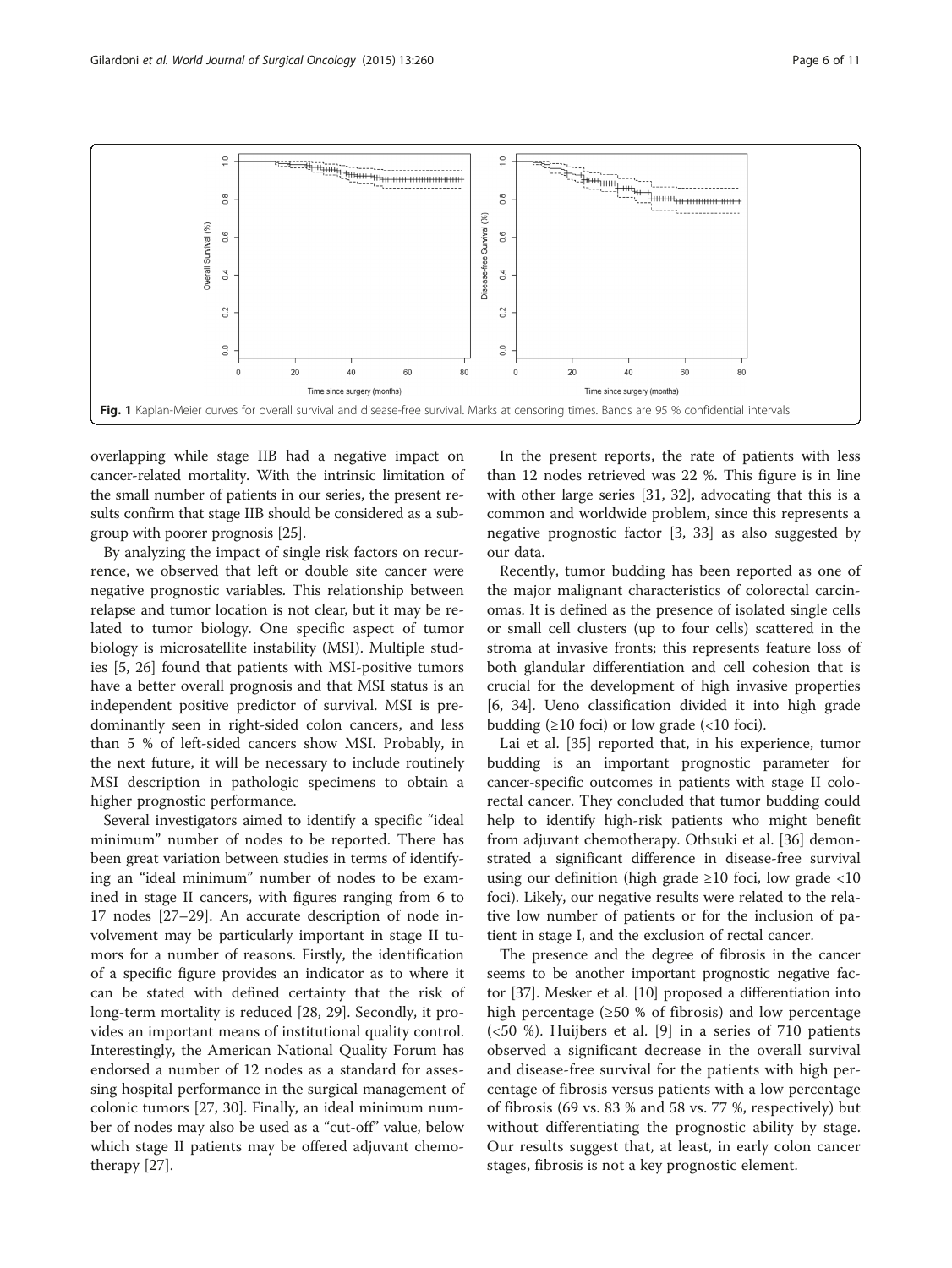<span id="page-5-0"></span>

overlapping while stage IIB had a negative impact on cancer-related mortality. With the intrinsic limitation of the small number of patients in our series, the present results confirm that stage IIB should be considered as a subgroup with poorer prognosis [[25](#page-9-0)].

By analyzing the impact of single risk factors on recurrence, we observed that left or double site cancer were negative prognostic variables. This relationship between relapse and tumor location is not clear, but it may be related to tumor biology. One specific aspect of tumor biology is microsatellite instability (MSI). Multiple studies [\[5](#page-9-0), [26\]](#page-9-0) found that patients with MSI-positive tumors have a better overall prognosis and that MSI status is an independent positive predictor of survival. MSI is predominantly seen in right-sided colon cancers, and less than 5 % of left-sided cancers show MSI. Probably, in the next future, it will be necessary to include routinely MSI description in pathologic specimens to obtain a higher prognostic performance.

Several investigators aimed to identify a specific "ideal minimum" number of nodes to be reported. There has been great variation between studies in terms of identifying an "ideal minimum" number of nodes to be examined in stage II cancers, with figures ranging from 6 to 17 nodes [\[27](#page-9-0)–[29\]](#page-9-0). An accurate description of node involvement may be particularly important in stage II tumors for a number of reasons. Firstly, the identification of a specific figure provides an indicator as to where it can be stated with defined certainty that the risk of long-term mortality is reduced [\[28, 29\]](#page-9-0). Secondly, it provides an important means of institutional quality control. Interestingly, the American National Quality Forum has endorsed a number of 12 nodes as a standard for assessing hospital performance in the surgical management of colonic tumors [[27](#page-9-0), [30](#page-9-0)]. Finally, an ideal minimum number of nodes may also be used as a "cut-off" value, below which stage II patients may be offered adjuvant chemotherapy [\[27](#page-9-0)].

In the present reports, the rate of patients with less than 12 nodes retrieved was 22 %. This figure is in line with other large series [\[31](#page-9-0), [32\]](#page-9-0), advocating that this is a common and worldwide problem, since this represents a negative prognostic factor [\[3](#page-9-0), [33\]](#page-9-0) as also suggested by our data.

Recently, tumor budding has been reported as one of the major malignant characteristics of colorectal carcinomas. It is defined as the presence of isolated single cells or small cell clusters (up to four cells) scattered in the stroma at invasive fronts; this represents feature loss of both glandular differentiation and cell cohesion that is crucial for the development of high invasive properties [[6, 34](#page-9-0)]. Ueno classification divided it into high grade budding  $(\geq 10$  foci) or low grade  $(\leq 10$  foci).

Lai et al. [\[35](#page-9-0)] reported that, in his experience, tumor budding is an important prognostic parameter for cancer-specific outcomes in patients with stage II colorectal cancer. They concluded that tumor budding could help to identify high-risk patients who might benefit from adjuvant chemotherapy. Othsuki et al. [[36](#page-10-0)] demonstrated a significant difference in disease-free survival using our definition (high grade  $\geq 10$  foci, low grade <10 foci). Likely, our negative results were related to the relative low number of patients or for the inclusion of patient in stage I, and the exclusion of rectal cancer.

The presence and the degree of fibrosis in the cancer seems to be another important prognostic negative factor [[37](#page-10-0)]. Mesker et al. [\[10\]](#page-9-0) proposed a differentiation into high percentage (≥50 % of fibrosis) and low percentage (<50 %). Huijbers et al. [[9\]](#page-9-0) in a series of 710 patients observed a significant decrease in the overall survival and disease-free survival for the patients with high percentage of fibrosis versus patients with a low percentage of fibrosis (69 vs. 83 % and 58 vs. 77 %, respectively) but without differentiating the prognostic ability by stage. Our results suggest that, at least, in early colon cancer stages, fibrosis is not a key prognostic element.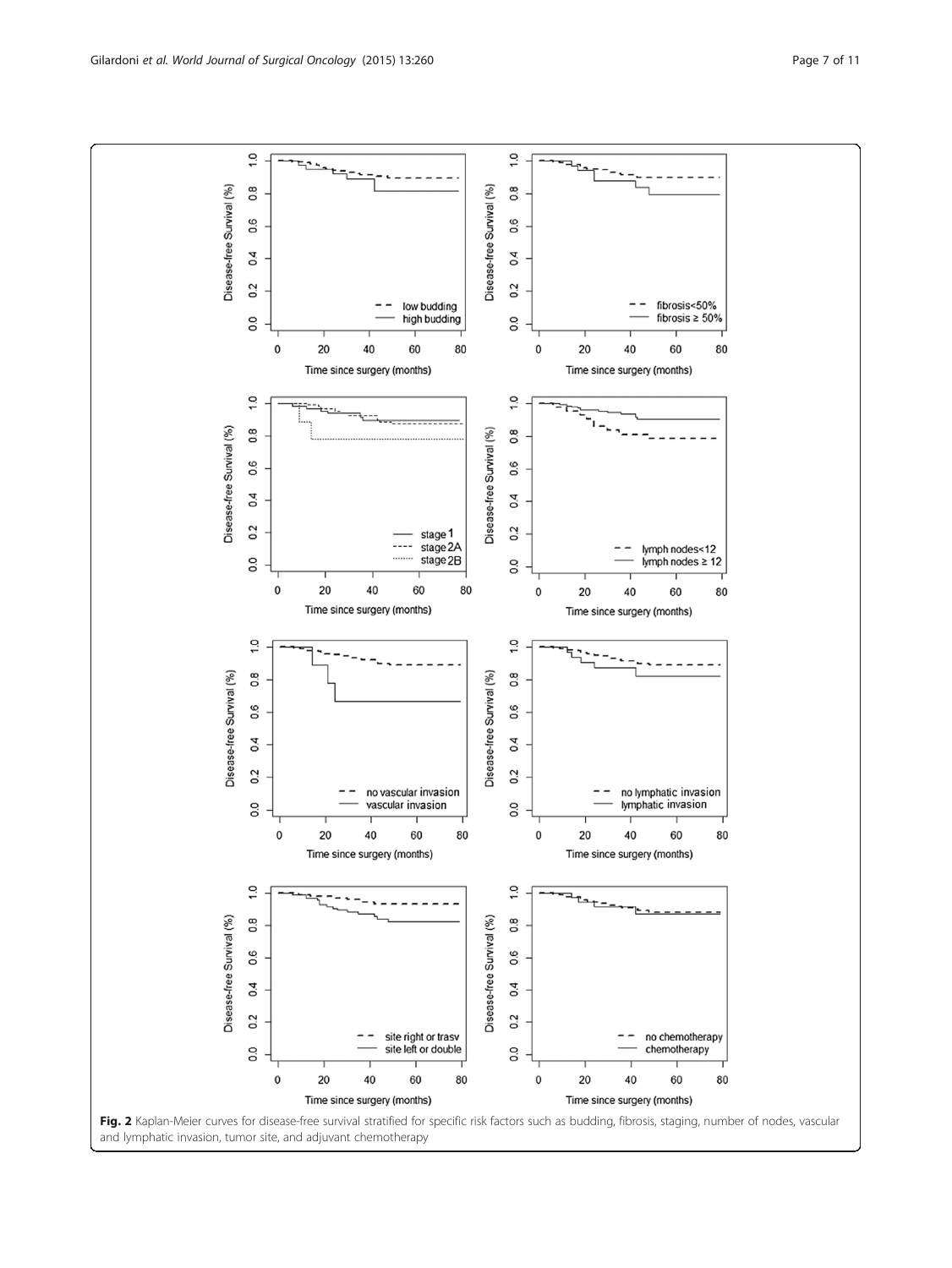<span id="page-6-0"></span>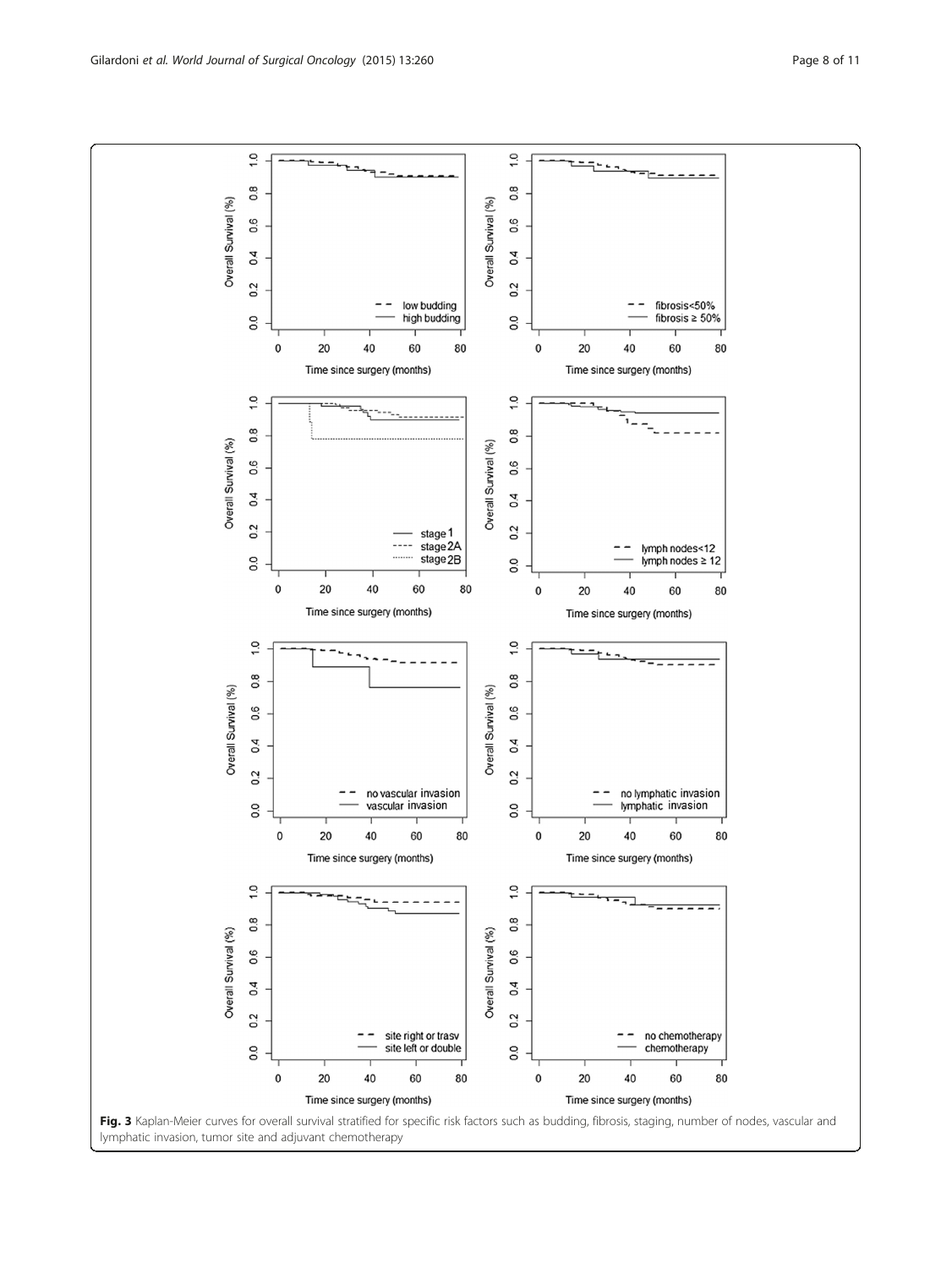<span id="page-7-0"></span>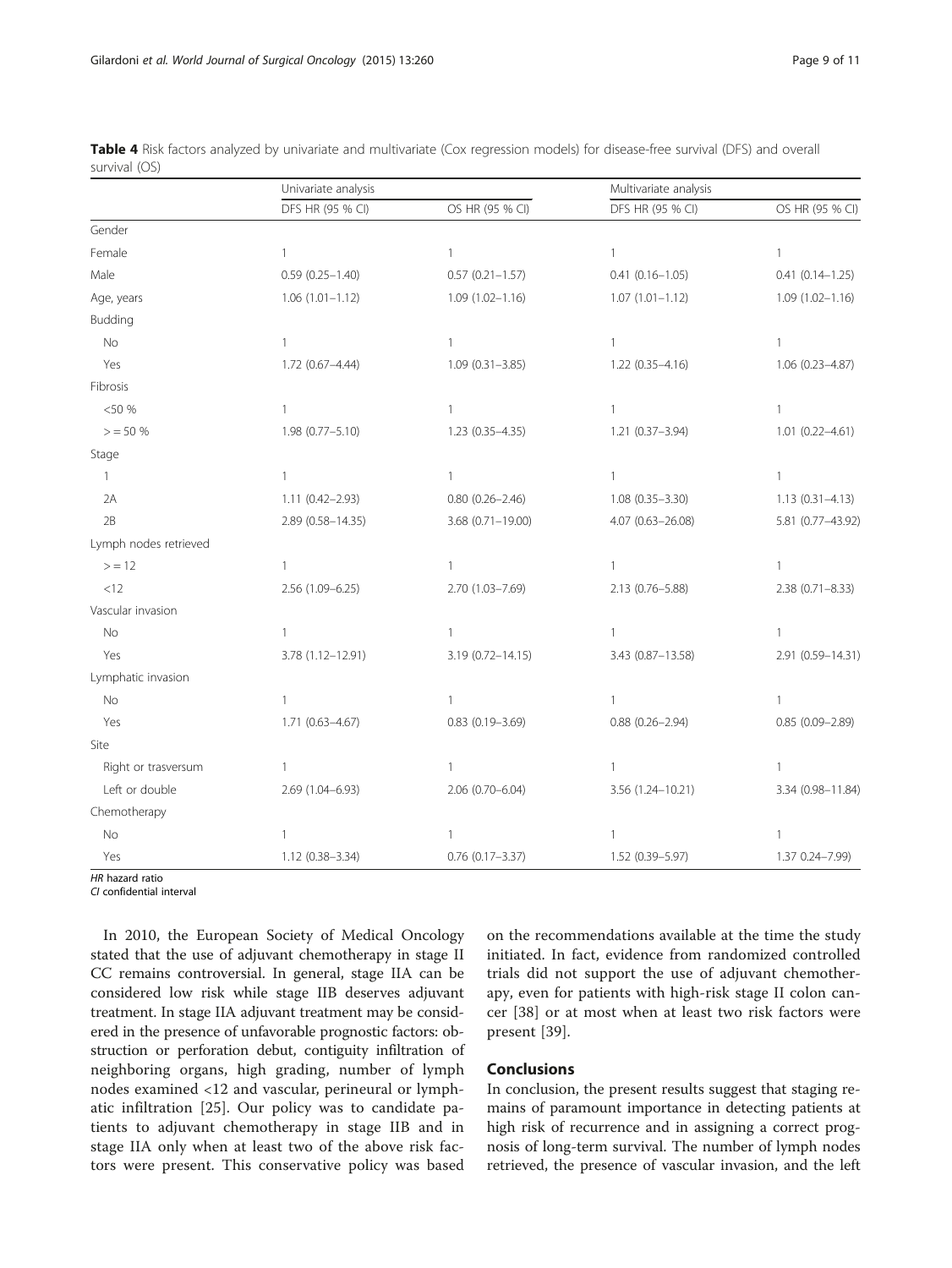|                       | Univariate analysis |                        | Multivariate analysis |                     |  |
|-----------------------|---------------------|------------------------|-----------------------|---------------------|--|
|                       | DFS HR (95 % CI)    | OS HR (95 % CI)        | DFS HR (95 % CI)      | OS HR (95 % CI)     |  |
| Gender                |                     |                        |                       |                     |  |
| Female                | $\mathbf{1}$        | 1                      | $\overline{1}$        | $\mathbf{1}$        |  |
| Male                  | $0.59(0.25 - 1.40)$ | $0.57$ $(0.21 - 1.57)$ | $0.41(0.16 - 1.05)$   | $0.41(0.14 - 1.25)$ |  |
| Age, years            | $1.06(1.01 - 1.12)$ | $1.09(1.02 - 1.16)$    | $1.07(1.01 - 1.12)$   | $1.09(1.02 - 1.16)$ |  |
| Budding               |                     |                        |                       |                     |  |
| No                    | $\mathbf{1}$        | $\mathbf{1}$           | $\mathbf{1}$          | $\mathbf{1}$        |  |
| Yes                   | $1.72(0.67 - 4.44)$ | $1.09(0.31 - 3.85)$    | $1.22(0.35 - 4.16)$   | $1.06(0.23 - 4.87)$ |  |
| Fibrosis              |                     |                        |                       |                     |  |
| $< 50 \%$             | $\mathbf{1}$        | $\mathbf{1}$           | $\overline{1}$        | $\mathbf{1}$        |  |
| $> 50\%$              | 1.98 (0.77-5.10)    | 1.23 (0.35-4.35)       | $1.21(0.37 - 3.94)$   | $1.01(0.22 - 4.61)$ |  |
| Stage                 |                     |                        |                       |                     |  |
| $\mathbf{1}$          | $\mathbf{1}$        | 1                      | $\mathbf{1}$          | $\mathbf{1}$        |  |
| 2A                    | 1.11 (0.42-2.93)    | $0.80(0.26 - 2.46)$    | $1.08(0.35 - 3.30)$   | $1.13(0.31 - 4.13)$ |  |
| 2B                    | 2.89 (0.58-14.35)   | 3.68 (0.71-19.00)      | 4.07 (0.63-26.08)     | 5.81 (0.77-43.92)   |  |
| Lymph nodes retrieved |                     |                        |                       |                     |  |
| $> = 12$              | 1                   | $\mathbf{1}$           | $\overline{1}$        | $\mathbf{1}$        |  |
| $<12$                 | 2.56 (1.09-6.25)    | 2.70 (1.03-7.69)       | 2.13 (0.76-5.88)      | $2.38(0.71 - 8.33)$ |  |
| Vascular invasion     |                     |                        |                       |                     |  |
| No                    | 1                   | 1                      | $\mathbf{1}$          | $\overline{1}$      |  |
| Yes                   | 3.78 (1.12-12.91)   | 3.19 (0.72-14.15)      | 3.43 (0.87-13.58)     | 2.91 (0.59-14.31)   |  |
| Lymphatic invasion    |                     |                        |                       |                     |  |
| $\rm No$              | $\mathbf{1}$        | $\mathbf{1}$           | $\mathbf{1}$          | $\mathbf{1}$        |  |
| Yes                   | 1.71 (0.63-4.67)    | $0.83$ $(0.19 - 3.69)$ | $0.88(0.26 - 2.94)$   | $0.85(0.09 - 2.89)$ |  |
| Site                  |                     |                        |                       |                     |  |
| Right or trasversum   | $\mathbf{1}$        | 1                      | $\mathbf{1}$          | $\mathbf{1}$        |  |
| Left or double        | 2.69 (1.04-6.93)    | 2.06 (0.70-6.04)       | 3.56 (1.24-10.21)     | 3.34 (0.98-11.84)   |  |
| Chemotherapy          |                     |                        |                       |                     |  |
| <b>No</b>             | $\mathbf{1}$        | $\mathbf{1}$           | $\overline{1}$        | $\mathbf{1}$        |  |
| Yes                   | $1.12(0.38 - 3.34)$ | $0.76$ (0.17-3.37)     | 1.52 (0.39-5.97)      | 1.37 0.24-7.99)     |  |

<span id="page-8-0"></span>Table 4 Risk factors analyzed by univariate and multivariate (Cox regression models) for disease-free survival (DFS) and overall survival (OS)

HR hazard ratio

CI confidential interval

In 2010, the European Society of Medical Oncology stated that the use of adjuvant chemotherapy in stage II CC remains controversial. In general, stage IIA can be considered low risk while stage IIB deserves adjuvant treatment. In stage IIA adjuvant treatment may be considered in the presence of unfavorable prognostic factors: obstruction or perforation debut, contiguity infiltration of neighboring organs, high grading, number of lymph nodes examined <12 and vascular, perineural or lymphatic infiltration [[25\]](#page-9-0). Our policy was to candidate patients to adjuvant chemotherapy in stage IIB and in stage IIA only when at least two of the above risk factors were present. This conservative policy was based on the recommendations available at the time the study initiated. In fact, evidence from randomized controlled trials did not support the use of adjuvant chemotherapy, even for patients with high-risk stage II colon cancer [\[38](#page-10-0)] or at most when at least two risk factors were present [[39\]](#page-10-0).

#### Conclusions

In conclusion, the present results suggest that staging remains of paramount importance in detecting patients at high risk of recurrence and in assigning a correct prognosis of long-term survival. The number of lymph nodes retrieved, the presence of vascular invasion, and the left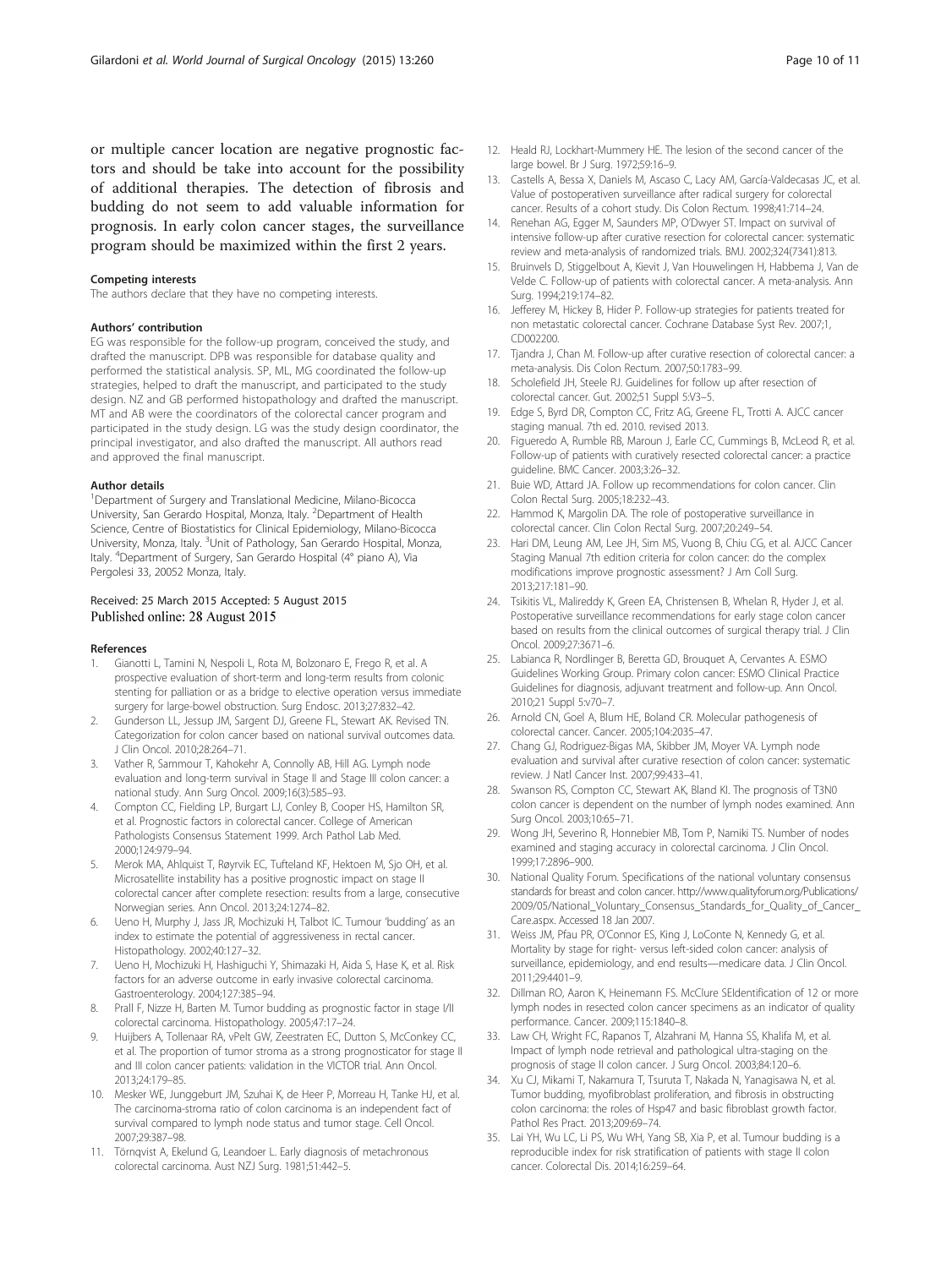<span id="page-9-0"></span>or multiple cancer location are negative prognostic factors and should be take into account for the possibility of additional therapies. The detection of fibrosis and budding do not seem to add valuable information for prognosis. In early colon cancer stages, the surveillance program should be maximized within the first 2 years.

#### Competing interests

The authors declare that they have no competing interests.

#### Authors' contribution

EG was responsible for the follow-up program, conceived the study, and drafted the manuscript. DPB was responsible for database quality and performed the statistical analysis. SP, ML, MG coordinated the follow-up strategies, helped to draft the manuscript, and participated to the study design. NZ and GB performed histopathology and drafted the manuscript. MT and AB were the coordinators of the colorectal cancer program and participated in the study design. LG was the study design coordinator, the principal investigator, and also drafted the manuscript. All authors read and approved the final manuscript.

#### Author details

<sup>1</sup>Department of Surgery and Translational Medicine, Milano-Bicocca University, San Gerardo Hospital, Monza, Italy. <sup>2</sup>Department of Health Science, Centre of Biostatistics for Clinical Epidemiology, Milano-Bicocca University, Monza, Italy. <sup>3</sup>Unit of Pathology, San Gerardo Hospital, Monza, Italy. <sup>4</sup>Department of Surgery, San Gerardo Hospital (4° piano A), Via Pergolesi 33, 20052 Monza, Italy.

#### Received: 25 March 2015 Accepted: 5 August 2015 Published online: 28 August 2015

#### References

- 1. Gianotti L, Tamini N, Nespoli L, Rota M, Bolzonaro E, Frego R, et al. A prospective evaluation of short-term and long-term results from colonic stenting for palliation or as a bridge to elective operation versus immediate surgery for large-bowel obstruction. Surg Endosc. 2013;27:832–42.
- 2. Gunderson LL, Jessup JM, Sargent DJ, Greene FL, Stewart AK. Revised TN. Categorization for colon cancer based on national survival outcomes data. J Clin Oncol. 2010;28:264–71.
- 3. Vather R, Sammour T, Kahokehr A, Connolly AB, Hill AG. Lymph node evaluation and long-term survival in Stage II and Stage III colon cancer: a national study. Ann Surg Oncol. 2009;16(3):585–93.
- 4. Compton CC, Fielding LP, Burgart LJ, Conley B, Cooper HS, Hamilton SR, et al. Prognostic factors in colorectal cancer. College of American Pathologists Consensus Statement 1999. Arch Pathol Lab Med. 2000;124:979–94.
- 5. Merok MA, Ahlquist T, Røyrvik EC, Tufteland KF, Hektoen M, Sjo OH, et al. Microsatellite instability has a positive prognostic impact on stage II colorectal cancer after complete resection: results from a large, consecutive Norwegian series. Ann Oncol. 2013;24:1274–82.
- 6. Ueno H, Murphy J, Jass JR, Mochizuki H, Talbot IC. Tumour 'budding' as an index to estimate the potential of aggressiveness in rectal cancer. Histopathology. 2002;40:127–32.
- 7. Ueno H, Mochizuki H, Hashiguchi Y, Shimazaki H, Aida S, Hase K, et al. Risk factors for an adverse outcome in early invasive colorectal carcinoma. Gastroenterology. 2004;127:385–94.
- 8. Prall F, Nizze H, Barten M. Tumor budding as prognostic factor in stage I/II colorectal carcinoma. Histopathology. 2005;47:17–24.
- 9. Huijbers A, Tollenaar RA, vPelt GW, Zeestraten EC, Dutton S, McConkey CC, et al. The proportion of tumor stroma as a strong prognosticator for stage II and III colon cancer patients: validation in the VICTOR trial. Ann Oncol. 2013;24:179–85.
- 10. Mesker WE, Junggeburt JM, Szuhai K, de Heer P, Morreau H, Tanke HJ, et al. The carcinoma-stroma ratio of colon carcinoma is an independent fact of survival compared to lymph node status and tumor stage. Cell Oncol. 2007;29:387–98.
- 11. Törnqvist A, Ekelund G, Leandoer L. Early diagnosis of metachronous colorectal carcinoma. Aust NZJ Surg. 1981;51:442–5.
- 12. Heald RJ, Lockhart-Mummery HE. The lesion of the second cancer of the large bowel. Br J Surg. 1972;59:16–9.
- 13. Castells A, Bessa X, Daniels M, Ascaso C, Lacy AM, García-Valdecasas JC, et al. Value of postoperativen surveillance after radical surgery for colorectal cancer. Results of a cohort study. Dis Colon Rectum. 1998;41:714–24.
- 14. Renehan AG, Egger M, Saunders MP, O'Dwyer ST. Impact on survival of intensive follow-up after curative resection for colorectal cancer: systematic review and meta-analysis of randomized trials. BMJ. 2002;324(7341):813.
- 15. Bruinvels D, Stiggelbout A, Kievit J, Van Houwelingen H, Habbema J, Van de Velde C. Follow-up of patients with colorectal cancer. A meta-analysis. Ann Surg. 1994;219:174–82.
- 16. Jefferey M, Hickey B, Hider P. Follow-up strategies for patients treated for non metastatic colorectal cancer. Cochrane Database Syst Rev. 2007;1, CD002200.
- 17. Tjandra J, Chan M. Follow-up after curative resection of colorectal cancer: a meta-analysis. Dis Colon Rectum. 2007;50:1783–99.
- 18. Scholefield JH, Steele RJ. Guidelines for follow up after resection of colorectal cancer. Gut. 2002;51 Suppl 5:V3–5.
- 19. Edge S, Byrd DR, Compton CC, Fritz AG, Greene FL, Trotti A. AJCC cancer staging manual. 7th ed. 2010. revised 2013.
- 20. Figueredo A, Rumble RB, Maroun J, Earle CC, Cummings B, McLeod R, et al. Follow-up of patients with curatively resected colorectal cancer: a practice guideline. BMC Cancer. 2003;3:26–32.
- 21. Buie WD, Attard JA. Follow up recommendations for colon cancer. Clin Colon Rectal Surg. 2005;18:232–43.
- 22. Hammod K, Margolin DA. The role of postoperative surveillance in colorectal cancer. Clin Colon Rectal Surg. 2007;20:249–54.
- 23. Hari DM, Leung AM, Lee JH, Sim MS, Vuong B, Chiu CG, et al. AJCC Cancer Staging Manual 7th edition criteria for colon cancer: do the complex modifications improve prognostic assessment? J Am Coll Surg. 2013;217:181–90.
- 24. Tsikitis VL, Malireddy K, Green EA, Christensen B, Whelan R, Hyder J, et al. Postoperative surveillance recommendations for early stage colon cancer based on results from the clinical outcomes of surgical therapy trial. J Clin Oncol. 2009;27:3671–6.
- 25. Labianca R, Nordlinger B, Beretta GD, Brouquet A, Cervantes A. ESMO Guidelines Working Group. Primary colon cancer: ESMO Clinical Practice Guidelines for diagnosis, adjuvant treatment and follow-up. Ann Oncol. 2010;21 Suppl 5:v70–7.
- 26. Arnold CN, Goel A, Blum HE, Boland CR. Molecular pathogenesis of colorectal cancer. Cancer. 2005;104:2035–47.
- 27. Chang GJ, Rodriguez-Bigas MA, Skibber JM, Moyer VA. Lymph node evaluation and survival after curative resection of colon cancer: systematic review. J Natl Cancer Inst. 2007;99:433–41.
- 28. Swanson RS, Compton CC, Stewart AK, Bland KI. The prognosis of T3N0 colon cancer is dependent on the number of lymph nodes examined. Ann Surg Oncol. 2003;10:65–71.
- 29. Wong JH, Severino R, Honnebier MB, Tom P, Namiki TS. Number of nodes examined and staging accuracy in colorectal carcinoma. J Clin Oncol. 1999;17:2896–900.
- 30. National Quality Forum. Specifications of the national voluntary consensus standards for breast and colon cancer. [http://www.qualityforum.org/Publications/](http://www.qualityforum.org/Publications/2009/05/National_Voluntary_Consensus_Standards_for_Quality_of_Cancer_Care.aspx) [2009/05/National\\_Voluntary\\_Consensus\\_Standards\\_for\\_Quality\\_of\\_Cancer\\_](http://www.qualityforum.org/Publications/2009/05/National_Voluntary_Consensus_Standards_for_Quality_of_Cancer_Care.aspx) [Care.aspx.](http://www.qualityforum.org/Publications/2009/05/National_Voluntary_Consensus_Standards_for_Quality_of_Cancer_Care.aspx) Accessed 18 Jan 2007.
- 31. Weiss JM, Pfau PR, O'Connor ES, King J, LoConte N, Kennedy G, et al. Mortality by stage for right- versus left-sided colon cancer: analysis of surveillance, epidemiology, and end results—medicare data. J Clin Oncol. 2011;29:4401–9.
- 32. Dillman RO, Aaron K, Heinemann FS. McClure SEIdentification of 12 or more lymph nodes in resected colon cancer specimens as an indicator of quality performance. Cancer. 2009;115:1840–8.
- 33. Law CH, Wright FC, Rapanos T, Alzahrani M, Hanna SS, Khalifa M, et al. Impact of lymph node retrieval and pathological ultra-staging on the prognosis of stage II colon cancer. J Surg Oncol. 2003;84:120–6.
- 34. Xu CJ, Mikami T, Nakamura T, Tsuruta T, Nakada N, Yanagisawa N, et al. Tumor budding, myofibroblast proliferation, and fibrosis in obstructing colon carcinoma: the roles of Hsp47 and basic fibroblast growth factor. Pathol Res Pract. 2013;209:69–74.
- 35. Lai YH, Wu LC, Li PS, Wu WH, Yang SB, Xia P, et al. Tumour budding is a reproducible index for risk stratification of patients with stage II colon cancer. Colorectal Dis. 2014;16:259–64.